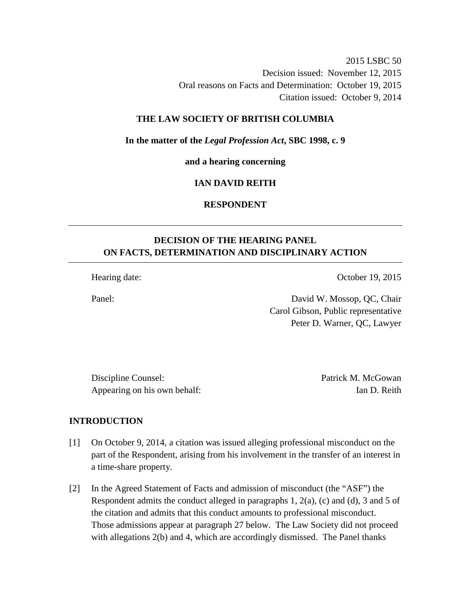2015 LSBC 50 Decision issued: November 12, 2015 Oral reasons on Facts and Determination: October 19, 2015 Citation issued: October 9, 2014

### **THE LAW SOCIETY OF BRITISH COLUMBIA**

#### **In the matter of the** *Legal Profession Act***, SBC 1998, c. 9**

**and a hearing concerning** 

### **IAN DAVID REITH**

## **RESPONDENT**

# **DECISION OF THE HEARING PANEL ON FACTS, DETERMINATION AND DISCIPLINARY ACTION**

Hearing date: Contract Contract Contract Contract Contract October 19, 2015

Panel: David W. Mossop, QC, Chair Carol Gibson, Public representative Peter D. Warner, QC, Lawyer

Discipline Counsel: Patrick M. McGowan Appearing on his own behalf: Ian D. Reith

#### **INTRODUCTION**

- [1] On October 9, 2014, a citation was issued alleging professional misconduct on the part of the Respondent, arising from his involvement in the transfer of an interest in a time-share property.
- [2] In the Agreed Statement of Facts and admission of misconduct (the "ASF") the Respondent admits the conduct alleged in paragraphs  $1, 2(a)$ , (c) and (d), 3 and 5 of the citation and admits that this conduct amounts to professional misconduct. Those admissions appear at paragraph 27 below. The Law Society did not proceed with allegations 2(b) and 4, which are accordingly dismissed. The Panel thanks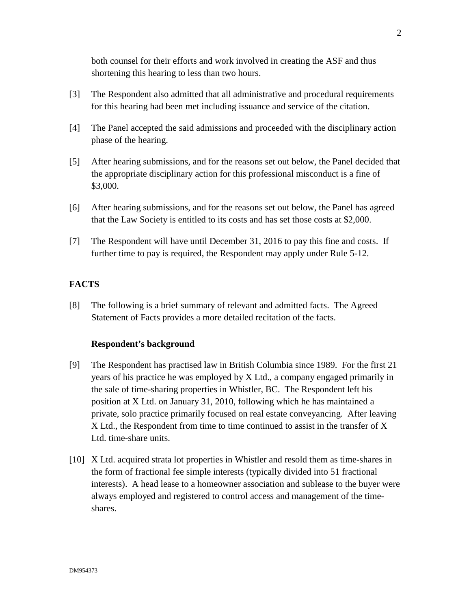both counsel for their efforts and work involved in creating the ASF and thus shortening this hearing to less than two hours.

- [3] The Respondent also admitted that all administrative and procedural requirements for this hearing had been met including issuance and service of the citation.
- [4] The Panel accepted the said admissions and proceeded with the disciplinary action phase of the hearing.
- [5] After hearing submissions, and for the reasons set out below, the Panel decided that the appropriate disciplinary action for this professional misconduct is a fine of \$3,000.
- [6] After hearing submissions, and for the reasons set out below, the Panel has agreed that the Law Society is entitled to its costs and has set those costs at \$2,000.
- [7] The Respondent will have until December 31, 2016 to pay this fine and costs. If further time to pay is required, the Respondent may apply under Rule 5-12.

## **FACTS**

[8] The following is a brief summary of relevant and admitted facts. The Agreed Statement of Facts provides a more detailed recitation of the facts.

#### **Respondent's background**

- [9] The Respondent has practised law in British Columbia since 1989. For the first 21 years of his practice he was employed by X Ltd., a company engaged primarily in the sale of time-sharing properties in Whistler, BC. The Respondent left his position at X Ltd. on January 31, 2010, following which he has maintained a private, solo practice primarily focused on real estate conveyancing. After leaving X Ltd., the Respondent from time to time continued to assist in the transfer of X Ltd. time-share units.
- [10] X Ltd. acquired strata lot properties in Whistler and resold them as time-shares in the form of fractional fee simple interests (typically divided into 51 fractional interests). A head lease to a homeowner association and sublease to the buyer were always employed and registered to control access and management of the timeshares.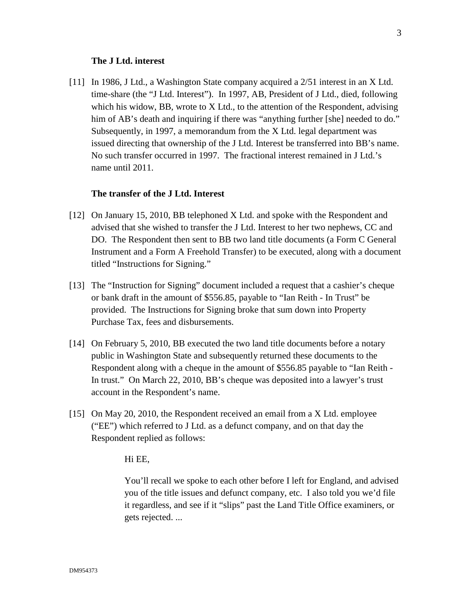#### **The J Ltd. interest**

[11] In 1986, J Ltd., a Washington State company acquired a 2/51 interest in an X Ltd. time-share (the "J Ltd. Interest"). In 1997, AB, President of J Ltd., died, following which his widow, BB, wrote to  $X$  Ltd., to the attention of the Respondent, advising him of AB's death and inquiring if there was "anything further [she] needed to do." Subsequently, in 1997, a memorandum from the X Ltd. legal department was issued directing that ownership of the J Ltd. Interest be transferred into BB's name. No such transfer occurred in 1997. The fractional interest remained in J Ltd.'s name until 2011.

#### **The transfer of the J Ltd. Interest**

- [12] On January 15, 2010, BB telephoned X Ltd. and spoke with the Respondent and advised that she wished to transfer the J Ltd. Interest to her two nephews, CC and DO. The Respondent then sent to BB two land title documents (a Form C General Instrument and a Form A Freehold Transfer) to be executed, along with a document titled "Instructions for Signing."
- [13] The "Instruction for Signing" document included a request that a cashier's cheque or bank draft in the amount of \$556.85, payable to "Ian Reith - In Trust" be provided. The Instructions for Signing broke that sum down into Property Purchase Tax, fees and disbursements.
- [14] On February 5, 2010, BB executed the two land title documents before a notary public in Washington State and subsequently returned these documents to the Respondent along with a cheque in the amount of \$556.85 payable to "Ian Reith - In trust." On March 22, 2010, BB's cheque was deposited into a lawyer's trust account in the Respondent's name.
- [15] On May 20, 2010, the Respondent received an email from a X Ltd. employee ("EE") which referred to J Ltd. as a defunct company, and on that day the Respondent replied as follows:

#### Hi EE,

You'll recall we spoke to each other before I left for England, and advised you of the title issues and defunct company, etc. I also told you we'd file it regardless, and see if it "slips" past the Land Title Office examiners, or gets rejected. ...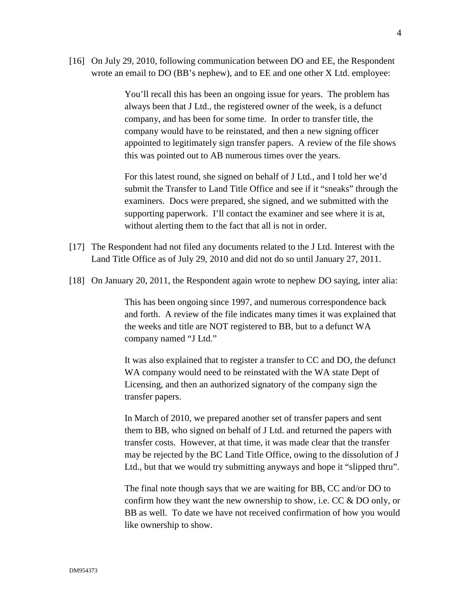[16] On July 29, 2010, following communication between DO and EE, the Respondent wrote an email to DO (BB's nephew), and to EE and one other X Ltd. employee:

> You'll recall this has been an ongoing issue for years. The problem has always been that J Ltd., the registered owner of the week, is a defunct company, and has been for some time. In order to transfer title, the company would have to be reinstated, and then a new signing officer appointed to legitimately sign transfer papers. A review of the file shows this was pointed out to AB numerous times over the years.

> For this latest round, she signed on behalf of J Ltd., and I told her we'd submit the Transfer to Land Title Office and see if it "sneaks" through the examiners. Docs were prepared, she signed, and we submitted with the supporting paperwork. I'll contact the examiner and see where it is at, without alerting them to the fact that all is not in order.

- [17] The Respondent had not filed any documents related to the J Ltd. Interest with the Land Title Office as of July 29, 2010 and did not do so until January 27, 2011.
- [18] On January 20, 2011, the Respondent again wrote to nephew DO saying, inter alia:

This has been ongoing since 1997, and numerous correspondence back and forth. A review of the file indicates many times it was explained that the weeks and title are NOT registered to BB, but to a defunct WA company named "J Ltd."

It was also explained that to register a transfer to CC and DO, the defunct WA company would need to be reinstated with the WA state Dept of Licensing, and then an authorized signatory of the company sign the transfer papers.

In March of 2010, we prepared another set of transfer papers and sent them to BB, who signed on behalf of J Ltd. and returned the papers with transfer costs. However, at that time, it was made clear that the transfer may be rejected by the BC Land Title Office, owing to the dissolution of J Ltd., but that we would try submitting anyways and hope it "slipped thru".

The final note though says that we are waiting for BB, CC and/or DO to confirm how they want the new ownership to show, i.e.  $CC \& DO$  only, or BB as well. To date we have not received confirmation of how you would like ownership to show.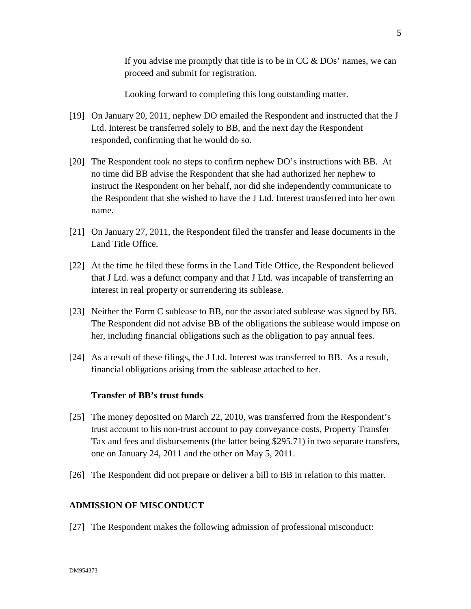If you advise me promptly that title is to be in  $CC \& DOS'$  names, we can proceed and submit for registration.

Looking forward to completing this long outstanding matter.

- [19] On January 20, 2011, nephew DO emailed the Respondent and instructed that the J Ltd. Interest be transferred solely to BB, and the next day the Respondent responded, confirming that he would do so.
- [20] The Respondent took no steps to confirm nephew DO's instructions with BB. At no time did BB advise the Respondent that she had authorized her nephew to instruct the Respondent on her behalf, nor did she independently communicate to the Respondent that she wished to have the J Ltd. Interest transferred into her own name.
- [21] On January 27, 2011, the Respondent filed the transfer and lease documents in the Land Title Office.
- [22] At the time he filed these forms in the Land Title Office, the Respondent believed that J Ltd. was a defunct company and that J Ltd. was incapable of transferring an interest in real property or surrendering its sublease.
- [23] Neither the Form C sublease to BB, nor the associated sublease was signed by BB. The Respondent did not advise BB of the obligations the sublease would impose on her, including financial obligations such as the obligation to pay annual fees.
- [24] As a result of these filings, the J Ltd. Interest was transferred to BB. As a result, financial obligations arising from the sublease attached to her.

### **Transfer of BB's trust funds**

- [25] The money deposited on March 22, 2010, was transferred from the Respondent's trust account to his non-trust account to pay conveyance costs, Property Transfer Tax and fees and disbursements (the latter being \$295.71) in two separate transfers, one on January 24, 2011 and the other on May 5, 2011.
- [26] The Respondent did not prepare or deliver a bill to BB in relation to this matter.

### **ADMISSION OF MISCONDUCT**

[27] The Respondent makes the following admission of professional misconduct: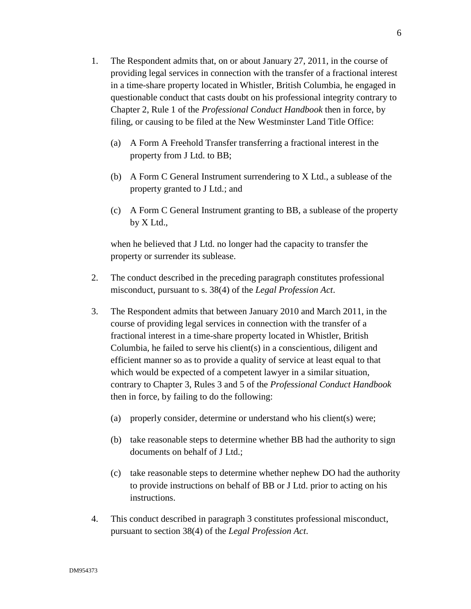- 1. The Respondent admits that, on or about January 27, 2011, in the course of providing legal services in connection with the transfer of a fractional interest in a time-share property located in Whistler, British Columbia, he engaged in questionable conduct that casts doubt on his professional integrity contrary to Chapter 2, Rule 1 of the *Professional Conduct Handbook* then in force, by filing, or causing to be filed at the New Westminster Land Title Office:
	- (a) A Form A Freehold Transfer transferring a fractional interest in the property from J Ltd. to BB;
	- (b) A Form C General Instrument surrendering to X Ltd., a sublease of the property granted to J Ltd.; and
	- (c) A Form C General Instrument granting to BB, a sublease of the property by X Ltd.,

when he believed that J Ltd. no longer had the capacity to transfer the property or surrender its sublease.

- 2. The conduct described in the preceding paragraph constitutes professional misconduct, pursuant to s. 38(4) of the *Legal Profession Act*.
- 3. The Respondent admits that between January 2010 and March 2011, in the course of providing legal services in connection with the transfer of a fractional interest in a time-share property located in Whistler, British Columbia, he failed to serve his client(s) in a conscientious, diligent and efficient manner so as to provide a quality of service at least equal to that which would be expected of a competent lawyer in a similar situation, contrary to Chapter 3, Rules 3 and 5 of the *Professional Conduct Handbook* then in force, by failing to do the following:
	- (a) properly consider, determine or understand who his client(s) were;
	- (b) take reasonable steps to determine whether BB had the authority to sign documents on behalf of J Ltd.;
	- (c) take reasonable steps to determine whether nephew DO had the authority to provide instructions on behalf of BB or J Ltd. prior to acting on his instructions.
- 4. This conduct described in paragraph 3 constitutes professional misconduct, pursuant to section 38(4) of the *Legal Profession Act*.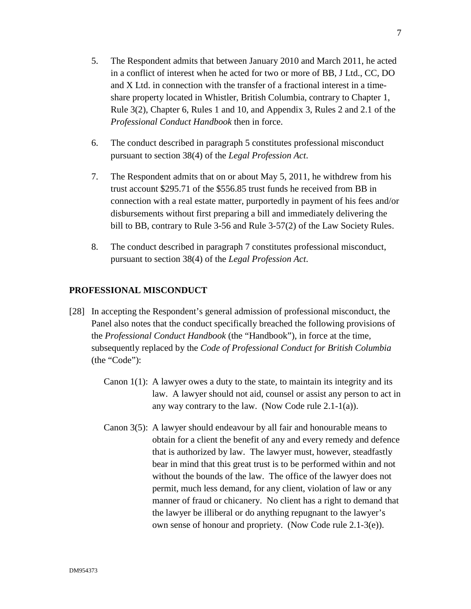- 5. The Respondent admits that between January 2010 and March 2011, he acted in a conflict of interest when he acted for two or more of BB, J Ltd., CC, DO and X Ltd. in connection with the transfer of a fractional interest in a timeshare property located in Whistler, British Columbia, contrary to Chapter 1, Rule 3(2), Chapter 6, Rules 1 and 10, and Appendix 3, Rules 2 and 2.1 of the *Professional Conduct Handbook* then in force.
- 6. The conduct described in paragraph 5 constitutes professional misconduct pursuant to section 38(4) of the *Legal Profession Act*.
- 7. The Respondent admits that on or about May 5, 2011, he withdrew from his trust account \$295.71 of the \$556.85 trust funds he received from BB in connection with a real estate matter, purportedly in payment of his fees and/or disbursements without first preparing a bill and immediately delivering the bill to BB, contrary to Rule 3-56 and Rule 3-57(2) of the Law Society Rules.
- 8. The conduct described in paragraph 7 constitutes professional misconduct, pursuant to section 38(4) of the *Legal Profession Act*.

## **PROFESSIONAL MISCONDUCT**

- [28] In accepting the Respondent's general admission of professional misconduct, the Panel also notes that the conduct specifically breached the following provisions of the *Professional Conduct Handbook* (the "Handbook"), in force at the time, subsequently replaced by the *Code of Professional Conduct for British Columbia* (the "Code"):
	- Canon  $1(1)$ : A lawyer owes a duty to the state, to maintain its integrity and its law. A lawyer should not aid, counsel or assist any person to act in any way contrary to the law. (Now Code rule 2.1-1(a)).
	- Canon 3(5): A lawyer should endeavour by all fair and honourable means to obtain for a client the benefit of any and every remedy and defence that is authorized by law. The lawyer must, however, steadfastly bear in mind that this great trust is to be performed within and not without the bounds of the law. The office of the lawyer does not permit, much less demand, for any client, violation of law or any manner of fraud or chicanery. No client has a right to demand that the lawyer be illiberal or do anything repugnant to the lawyer's own sense of honour and propriety. (Now Code rule 2.1-3(e)).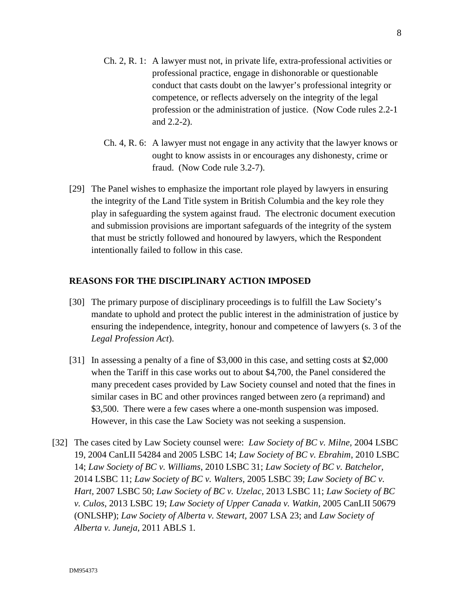- Ch. 2, R. 1: A lawyer must not, in private life, extra-professional activities or professional practice, engage in dishonorable or questionable conduct that casts doubt on the lawyer's professional integrity or competence, or reflects adversely on the integrity of the legal profession or the administration of justice. (Now Code rules 2.2-1 and 2.2-2).
- Ch. 4, R. 6: A lawyer must not engage in any activity that the lawyer knows or ought to know assists in or encourages any dishonesty, crime or fraud. (Now Code rule 3.2-7).
- [29] The Panel wishes to emphasize the important role played by lawyers in ensuring the integrity of the Land Title system in British Columbia and the key role they play in safeguarding the system against fraud. The electronic document execution and submission provisions are important safeguards of the integrity of the system that must be strictly followed and honoured by lawyers, which the Respondent intentionally failed to follow in this case.

## **REASONS FOR THE DISCIPLINARY ACTION IMPOSED**

- [30] The primary purpose of disciplinary proceedings is to fulfill the Law Society's mandate to uphold and protect the public interest in the administration of justice by ensuring the independence, integrity, honour and competence of lawyers (s. 3 of the *Legal Profession Act*).
- [31] In assessing a penalty of a fine of \$3,000 in this case, and setting costs at \$2,000 when the Tariff in this case works out to about \$4,700, the Panel considered the many precedent cases provided by Law Society counsel and noted that the fines in similar cases in BC and other provinces ranged between zero (a reprimand) and \$3,500. There were a few cases where a one-month suspension was imposed. However, in this case the Law Society was not seeking a suspension.
- [32] The cases cited by Law Society counsel were: *Law Society of BC v. Milne,* 2004 LSBC 19, 2004 CanLII 54284 and 2005 LSBC 14; *Law Society of BC v. Ebrahim*, 2010 LSBC 14; *Law Society of BC v. Williams*, 2010 LSBC 31; *Law Society of BC v. Batchelor,*  2014 LSBC 11; *Law Society of BC v. Walters,* 2005 LSBC 39; *Law Society of BC v. Hart,* 2007 LSBC 50; *Law Society of BC v. Uzelac,* 2013 LSBC 11; *Law Society of BC v. Culos*, 2013 LSBC 19; *Law Society of Upper Canada v. Watkin,* 2005 CanLII 50679 (ONLSHP); *Law Society of Alberta v. Stewart,* 2007 LSA 23; and *Law Society of Alberta v. Juneja*, 2011 ABLS 1*.*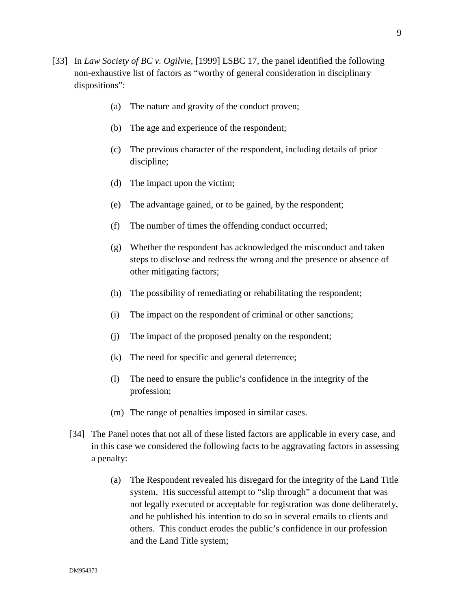- [33] In *Law Society of BC v. Ogilvie*, [1999] LSBC 17*,* the panel identified the following non-exhaustive list of factors as "worthy of general consideration in disciplinary dispositions":
	- (a) The nature and gravity of the conduct proven;
	- (b) The age and experience of the respondent;
	- (c) The previous character of the respondent, including details of prior discipline;
	- (d) The impact upon the victim;
	- (e) The advantage gained, or to be gained, by the respondent;
	- (f) The number of times the offending conduct occurred;
	- (g) Whether the respondent has acknowledged the misconduct and taken steps to disclose and redress the wrong and the presence or absence of other mitigating factors;
	- (h) The possibility of remediating or rehabilitating the respondent;
	- (i) The impact on the respondent of criminal or other sanctions;
	- (j) The impact of the proposed penalty on the respondent;
	- (k) The need for specific and general deterrence;
	- (l) The need to ensure the public's confidence in the integrity of the profession;
	- (m) The range of penalties imposed in similar cases.
	- [34] The Panel notes that not all of these listed factors are applicable in every case, and in this case we considered the following facts to be aggravating factors in assessing a penalty:
		- (a) The Respondent revealed his disregard for the integrity of the Land Title system. His successful attempt to "slip through" a document that was not legally executed or acceptable for registration was done deliberately, and he published his intention to do so in several emails to clients and others. This conduct erodes the public's confidence in our profession and the Land Title system;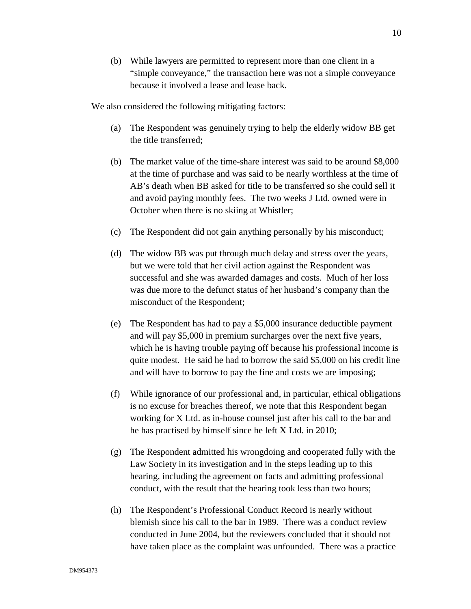(b) While lawyers are permitted to represent more than one client in a "simple conveyance," the transaction here was not a simple conveyance because it involved a lease and lease back.

We also considered the following mitigating factors:

- (a) The Respondent was genuinely trying to help the elderly widow BB get the title transferred;
- (b) The market value of the time-share interest was said to be around \$8,000 at the time of purchase and was said to be nearly worthless at the time of AB's death when BB asked for title to be transferred so she could sell it and avoid paying monthly fees. The two weeks J Ltd. owned were in October when there is no skiing at Whistler;
- (c) The Respondent did not gain anything personally by his misconduct;
- (d) The widow BB was put through much delay and stress over the years, but we were told that her civil action against the Respondent was successful and she was awarded damages and costs. Much of her loss was due more to the defunct status of her husband's company than the misconduct of the Respondent;
- (e) The Respondent has had to pay a \$5,000 insurance deductible payment and will pay \$5,000 in premium surcharges over the next five years, which he is having trouble paying off because his professional income is quite modest. He said he had to borrow the said \$5,000 on his credit line and will have to borrow to pay the fine and costs we are imposing;
- (f) While ignorance of our professional and, in particular, ethical obligations is no excuse for breaches thereof, we note that this Respondent began working for X Ltd. as in-house counsel just after his call to the bar and he has practised by himself since he left X Ltd. in 2010;
- (g) The Respondent admitted his wrongdoing and cooperated fully with the Law Society in its investigation and in the steps leading up to this hearing, including the agreement on facts and admitting professional conduct, with the result that the hearing took less than two hours;
- (h) The Respondent's Professional Conduct Record is nearly without blemish since his call to the bar in 1989. There was a conduct review conducted in June 2004, but the reviewers concluded that it should not have taken place as the complaint was unfounded. There was a practice